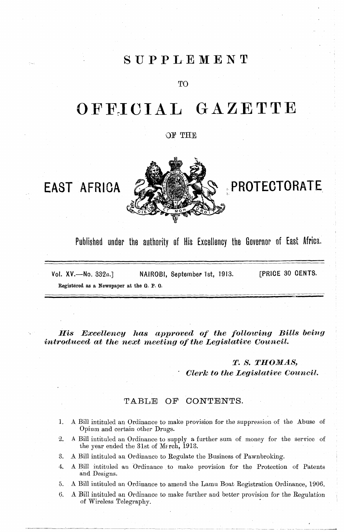### SUPPLEMENT

**TO** 

## OFFICIAL GAZETTE

#### OF THE

## EAST AFRICA



## PROTECTORATE

Published under the authority of His Excellency the Governor of East Africa.

**FPRICE 30 CENTS.** Vol.  $XV$ .  $\rightarrow$ No. 332a.] NAIROBI, September 1st, 1913. Registered as a Newspaper at the G. P.O.

His Excellency has approved of the following Bills being introduced at the next meeting of the Legislative Council.

### T. S. THOMAS,

**Clerk to the Legislative Council.** 

#### CONTENTS. TABLE  $OF$

- A Bill intituled an Ordinance to make provision for the suppression of the Abuse of 1. Opium and certain other Drugs.
- 2. A Bill intituled an Ordinance to supply a further sum of money for the service of the year ended the 31st of Merch, 1913.
- 3. A Bill intituled an Ordinance to Regulate the Business of Pawnbroking.
- A Bill intituled an Ordinance to make provision for the Protection of Patents 4. and Designs.
- A Bill intituled an Ordinance to amend the Lamu Boat Registration Ordinance, 1906. 5.
- 6. A Bill intituled an Ordinance to make further and better provision for the Regulation of Wireless Telegraphy.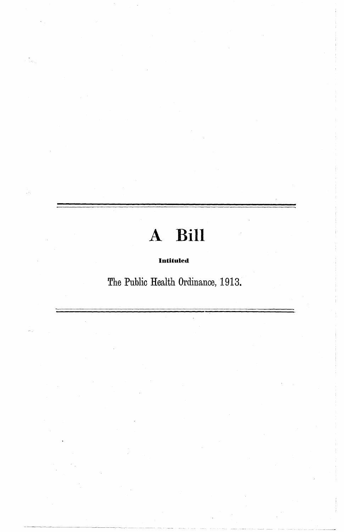## A Bill

#### Intituled

The Public Health Ordinance, 1913.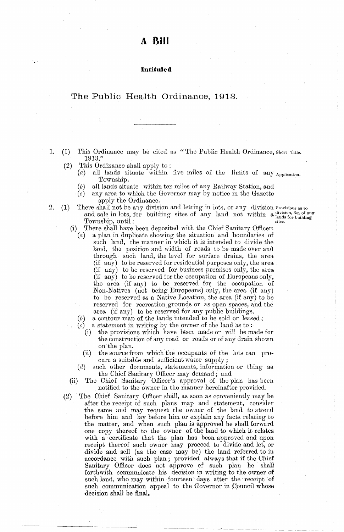#### Intituled

#### <span id="page-2-0"></span>The Public Health Ordinance, 1913.

- This Ordinance may be cited as "The Public Health Ordinance, Short Title. 1.  $(1)$ 1913."
	- This Ordinance shall apply to:  $(2)$

2.

- all lands situate within five miles of the limits of any Application.  $\left( a\right)$ Township.
	- all lands situate within ten miles of any Railway Station, and  $(b)$
	- any area to which the Governor may by notice in the Gazette  $(c)$ apply the Ordinance.
- $(1)$ There shall not be any division and letting in lots, or any division Provisions as to and sale in lots, for building sites of any land not within a lands for building Township, until: sites.

- There shall have been deposited with the Chief Sanitary Officer:  $(i)$ 
	- a plan in duplicate showing the situation and boundaries of  $(a)$ such land, the manner in which it is intended to divide the land, the position and width of roads to be made over and through such land, the level for surface drains, the area (if any) to be reserved for residential purposes only, the area (if any) to be reserved for business premises only, the area (if any) to be reserved for the occupation of Europeans only,<br>the area (if any) to be reserved for the occupation of<br>Non-Natives (not being Europeans) only, the area (if any) to be reserved as a Native Location, the area (if any) to be reserved for recreation grounds or as open spaces, and the area (if any) to be reserved for any public buildings.
	- $(b)$ a contour map of the lands intended to be sold or leased;
	- a statement in writing by the owner of the land as to:
		- the provisions which have been made or will be made for  $(i)$ the construction of any road or roads or of any drain shown on the plan.
		- the source from which the occupants of the lots can pro- $(ii)$ cure a suitable and sufficient water supply;
	- $(d)$ such other documents, statements, information or thing as the Chief Sanitary Officer may demand; and
- The Chief Sanitary Officer's approval of the plan has been  $(ii)$ notified to the owner in the manner hereinafter provided.
- $(2)$ The Chief Sanitary Officer shall, as soon as conveniently may be after the receipt of such plans map and statement, consider the same and may request the owner of the land to attend before him and lay before him or explain any facts relating to the matter, and when such plan is approved he shall forward one copy thereof to the owner of the land to which it relates with a certificate that the plan has been approved and upon receipt thereof such owner may proceed to divide and let, or divide and sell (as the case may be) the land referred to in accordance with such plan; provided always that if the Chief Sanitary Officer does not approve of such plan he shall forthwith communicate his decision in writing to the owner of such land, who may within fourteen days after the receipt of such communication appeal to the Governor in Council whose decision shall be final.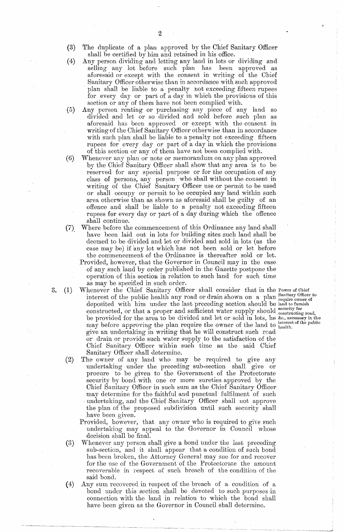- $\mathcal{P}$
- (3) The duplicate of a plan approved by the Chief Sanitary Officer shall be certified by him and retained in his office.
- (4) Any person dividing and letting any land in lots or dividing and selling any lot before such plan has been approved as aforesaid or except with the consent in writing of the Chief Sanitary Officer otherwise than in accordance with such approved plan shall be liable to a penalty notexceeding flfteen rupees for every day or part of a day in which the provisions of this section or any of them have not been complied with.
- (5) Any person renting or purchasing any piece of any land so divided and let or so divided and sold before such plan as aforesaid has beeu approved or except with theconsent in writing of the Chief Sanitary Officer otherwise than in accordance with such plan shall be liable to a penalty not exceeding fifteen rupees for every day or part of a day in which the provisions of this section or any of them have not been complied with.
- (6) Whenever any plan or note or memorandum on any plan approved by the Chief Sanitary Officer shall show that any area is to be reserved for any special purpose or for the occupation of any class of persons, any person who shall without the consent in writing of the Chief Sanitary Officer use or permit to be used or shall occupy or permit to be occupied any land within such area otherwise than as shown as aforesaid shall be guilty of an offence and shall be liable to a penalty not exceeding fifteen rupees for every day or part of a day during which the offence shall continue.
- (7) Where before the commencement of this Ordinance any land shall have been laid out in lots for building sites such land shall be deemed to be divided and let or divided and sold in lots (as the case may be) if any lot which has not been sold or let before the commencement of the Ordinance is thereafter sold or let.
	- Provided, however, that the Governor in Council may in the case of any such land by order published in the Gazette postpone the operation of this section in relation to such land for such time as may be specified in such order.
- 3. (1) Whenever the Chief Sanitary Officer shall consider that in the Power of Chief interest of the public health any road or drain shown on a plan Sanitary Officer to deposited with him under the last preceding section should be land to furnish constructed, or that a proper and sufficient water supply should eonstructing road. be provided for the area to be divided and let or sold in lots, he &c., necessary in the may before approving the plan require the owner of the land to health. give an undertaking in writing that he will construct such road or drain or provide such water supply to the satisfaction of the Chief Sanitary Officer within such time as the said Chief Sanitary Officer shall determine.
	-
	- (2) The owner of any land who may be required to give any undertaking under the preceding sub-section shall give or procure to be given to the Government of the Protectorate security by bond with one or more sureties approved by the Chief Šanitary Officer in such sum as the Chief Sanitary Officer may determine for the faithful and punctual fulfilment of such undertaking, and the Chief Sanitary Officer shall not approve the plan of the proposed subdivision until such security shall have been given.
		- Provided, however, that any owner who is required to give such undertaking may appeal to the Governor in Council whose decision shall be final.
	- (3) Whenever any person shall give a bond under the last preceding sub-section, and it shall appear that a condition of such bond has been broken, the Attorney General may sue for and recover for the use of the Government of the Protectorate the amount recoverable in respect of such breach of the condition of the said bond.
	- $(4)$  Any sum recovered in respect of the breach of a condition of a bond under this section shall be devoted to such purposes in connection with the land in relatîon to which the bond shall have been given as the Governor in Council shall determine.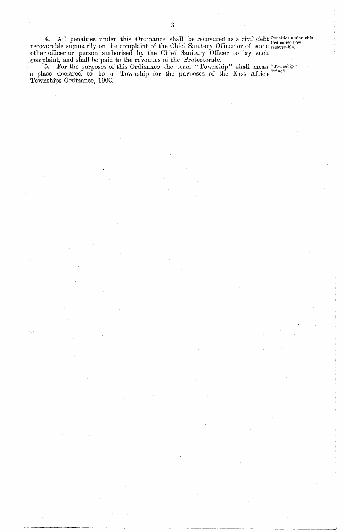4. All penalties under this Ordinance shall be recovered as a civil debt Penalties under this<br>recoverable summarily on the complaint of the Chief Sanitary Officer or of some recoverable.<br>other officer or person authorised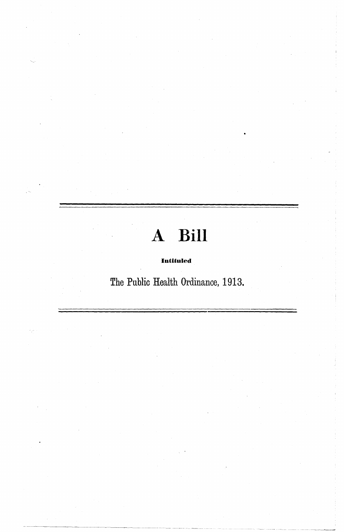# A Bill

#### Intituled

The Public Health Ordinance, 1913.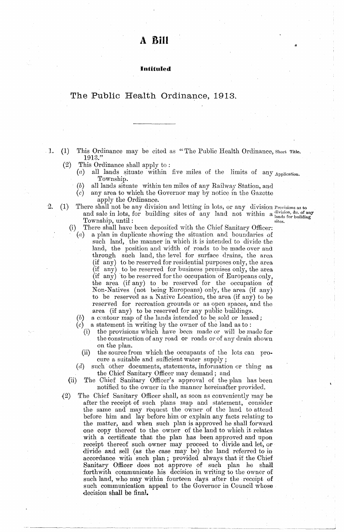#### Intituled

#### <span id="page-6-0"></span>The Public Health Ordinance, 1913.

- $\cdot$  1.  $(1)$ This Ordinance may be cited as "The Public Health Ordinance, Short Title. 1913."
	- $(2)$ This Ordinance shall apply to:

2.

- all lands situate within five miles of the limits of any Application.  $\left(a\right)$ Township.
	- all lands situate within ten miles of any Railway Station, and (b)
	- $(c)$ any area to which the Governor may by notice in the Gazette apply the Ordinance.
- There shall not be any division and letting in lots, or any division Provisions as to  $(1)$ and sale in lots, for building sites of any land not within a lands for building Township, until: sites.
	- There shall have been deposited with the Chief Sanitary Officer:  $(i)$ 
		- a plan in duplicate showing the situation and boundaries of  $(a)$ such land, the manner in which it is intended to divide the land, the position and width of roads to be made over and through such land, the level for surface drains, the area (if any) to be reserved for residential purposes only, the area<br>(if any) to be reserved for business premises only, the area<br>(if any) to be reserved for the occupation of Europeans only, the area (if any) to be reserved for the occupation of Non-Natives (not being Europeans) only, the area (if any) to be reserved as a Native Location, the area (if any) to be reserved for recreation grounds or as open spaces, and the area (if any) to be reserved for any public buildings.
		- a contour map of the lands intended to be sold or leased;
		- a statement in writing by the owner of the land as to:
			- the provisions which have been made or will be made for  $(i)$ the construction of any road or roads or of any drain shown on the plan.
		- $(ii)$ the source from which the occupants of the lots can procure a suitable and sufficient water supply;
		- such other documents, statements, information or thing as  $(d)$ the Chief Sanitary Officer may demand; and
	- The Chief Sanitary Officer's approval of the plan has been  $(ii)$ notified to the owner in the manner hereinafter provided.
- $(2)$ The Chief Sanitary Officer shall, as soon as conveniently may be after the receipt of such plans map and statement, consider the same and may request the owner of the land to attend before him and lay before him or explain any facts relating to the matter, and when such plan is approved he shall forward one copy thereof to the owner of the land to which it relates with a certificate that the plan has been approved and upon receipt thereof such owner may proceed to divide and let, or divide and sell (as the case may be) the land referred to in accordance with such plan; provided always that if the Chief Sanitary Officer does not approve of such plan he shall forthwith communicate his decision in writing to the owner of such land, who may within fourteen days after the receipt of such communication appeal to the Governor in Council whose decision shall be final.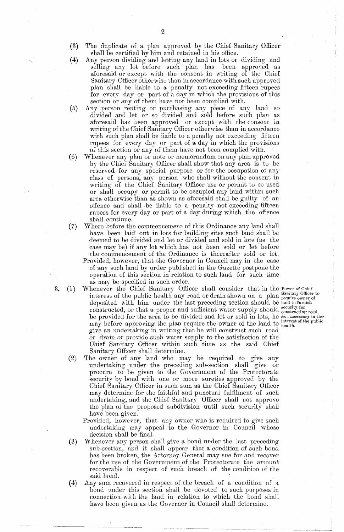- (3) The duplicate of a plan approved by the Chief Sanitary Officer shall be certified by him and retained in his office.
- (4) Any person dividing and letting any land in lots or dividing and selling any lot before such plan has been approved as aforesaid or except with the consent in writing of the Chief Sanitary Officer otherwise than in accordance with such approved plan shall be liable to a penalty notexceeding ffteen rupees for every day or part of a day in which the provisions of this section or any of them have not been complied with.
- (5) Any person renting or purchasing any piece of any land io divided and 1et or so divided and.sold before such plan as aforesaid has been approved or except with theconsent in writing of the Chief Sanitary Officer otherwise than in accordance with such plan shall be liable to a penalty not exceeding fifteen rupees for every day or part of a day in which the provisions of this section or any of them have not been complied with.
- (6) Whenever any plan or note or memorandum on any plan approved by the Chief Sanitary Officer shall show that any area is to be reserved for any special purpose or for the occupation of any class of persons, any person who shall without the consent in writing of the Chief Sanitary Officer use or permit to be used or shall occupy or permit to be occupied any land within such area otherwise than as shown as aforesaid shall be guilty of an offence and shall be liable to a penalty not exceeding fifteen rupees for every day or part of a day during which the offence shall continue.
- (7) Where before the commencement of this Ordinance any land shall have been laid out in lots for building sites such land shall be deemed to be divided and let or divided and sold in lots (as the case may be) if any lot which has not been sold or let before the commencement of the Ordinance is thereafter sold or let.
	- Provided, however, that the Governor in Council may in the case of any such land by order published in the Gazette postpone the operation of this section in relation to such land for such time as may be specified in such order.
- 3. (1) Whenever the Chief Sanitary Officer shall consider that in the Power of Chief interest of the public health any road ordrain shown on a plan Sanitary Officer to. deposited with him under the last preceding section should be land to furnish constructed, or that a proper and sufficient water supply should constructing road, be provided for the area to be divided and let or sold in lots, he &c., necessary in the may before approving the plan require the owner of the land to interest of the public may before approving the plan require the owner give an undertaking in writing that he will construct such road or drain or provide such water supply to the satisfaction of the Chief Sanitary Officer within such time as the said Chief Sanitary Officer shall determine.
	- (2) The owner of any land who may be required to give any undertaking under the preceding sub-section shall give or procure to be given to the Government of the Protectorate security by bond with one or more sureties approved by the Chief Sanitary Officer in such sum as the Chief Sanitary Officer may determine for the faithful and punctual fulfilment of such undertaking, and the Chief Sanitary Officer shall not approve the plan of the proposed subdivision until such security shall have been given.
		- Provided, however, that any owner who is required to give such undertaking may appeal to the Governor in Council whose decision shall be final.
	- (3) Whenever any person shall give a bond under the last preceding sub-section, and it shall appear that a condition of such bond has been broken, the Attorney General may sue for and recover for the use of the Government of the Protectorate the amount recoverable in respect of such breach of the condition of the said bond.
	- $(4)$  Any sum recovered in respect of the breach of a condition of a bond under this section shall be devoted to such purposes in connection with the land in relation to which the bond shall have been given as the Governor in Council shall determine.